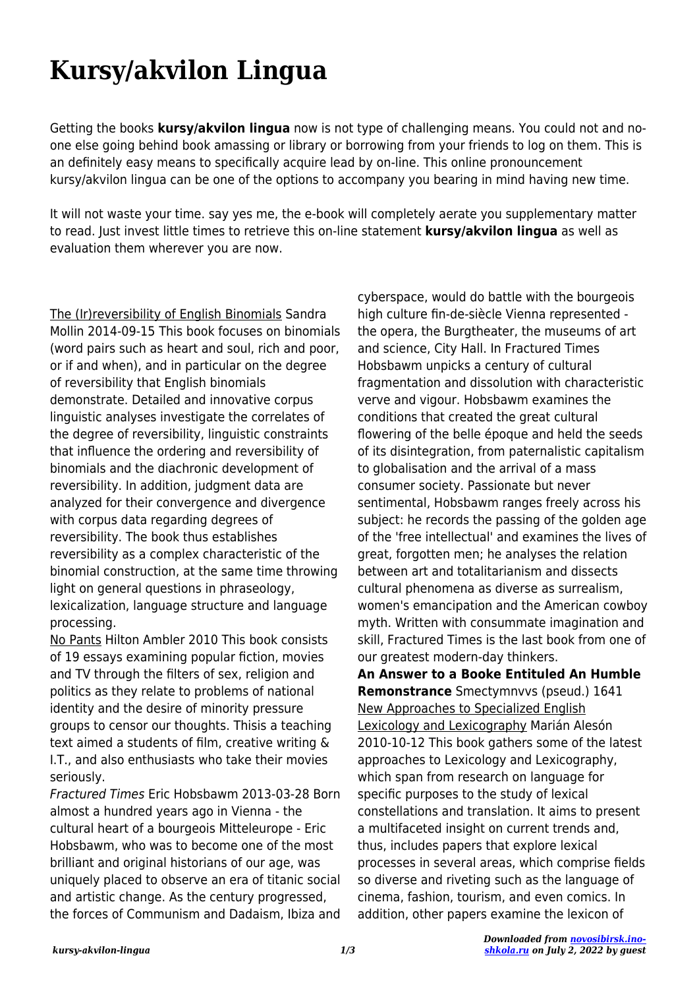## **Kursy/akvilon Lingua**

Getting the books **kursy/akvilon lingua** now is not type of challenging means. You could not and noone else going behind book amassing or library or borrowing from your friends to log on them. This is an definitely easy means to specifically acquire lead by on-line. This online pronouncement kursy/akvilon lingua can be one of the options to accompany you bearing in mind having new time.

It will not waste your time. say yes me, the e-book will completely aerate you supplementary matter to read. Just invest little times to retrieve this on-line statement **kursy/akvilon lingua** as well as evaluation them wherever you are now.

The (Ir)reversibility of English Binomials Sandra Mollin 2014-09-15 This book focuses on binomials (word pairs such as heart and soul, rich and poor, or if and when), and in particular on the degree of reversibility that English binomials demonstrate. Detailed and innovative corpus linguistic analyses investigate the correlates of the degree of reversibility, linguistic constraints that influence the ordering and reversibility of binomials and the diachronic development of reversibility. In addition, judgment data are analyzed for their convergence and divergence with corpus data regarding degrees of reversibility. The book thus establishes reversibility as a complex characteristic of the binomial construction, at the same time throwing light on general questions in phraseology, lexicalization, language structure and language processing.

No Pants Hilton Ambler 2010 This book consists of 19 essays examining popular fiction, movies and TV through the filters of sex, religion and politics as they relate to problems of national identity and the desire of minority pressure groups to censor our thoughts. Thisis a teaching text aimed a students of film, creative writing & I.T., and also enthusiasts who take their movies seriously.

Fractured Times Eric Hobsbawm 2013-03-28 Born almost a hundred years ago in Vienna - the cultural heart of a bourgeois Mitteleurope - Eric Hobsbawm, who was to become one of the most brilliant and original historians of our age, was uniquely placed to observe an era of titanic social and artistic change. As the century progressed, the forces of Communism and Dadaism, Ibiza and

cyberspace, would do battle with the bourgeois high culture fin-de-siècle Vienna represented the opera, the Burgtheater, the museums of art and science, City Hall. In Fractured Times Hobsbawm unpicks a century of cultural fragmentation and dissolution with characteristic verve and vigour. Hobsbawm examines the conditions that created the great cultural flowering of the belle époque and held the seeds of its disintegration, from paternalistic capitalism to globalisation and the arrival of a mass consumer society. Passionate but never sentimental, Hobsbawm ranges freely across his subject: he records the passing of the golden age of the 'free intellectual' and examines the lives of great, forgotten men; he analyses the relation between art and totalitarianism and dissects cultural phenomena as diverse as surrealism, women's emancipation and the American cowboy myth. Written with consummate imagination and skill, Fractured Times is the last book from one of our greatest modern-day thinkers.

**An Answer to a Booke Entituled An Humble Remonstrance** Smectymnvvs (pseud.) 1641 New Approaches to Specialized English Lexicology and Lexicography Marián Alesón 2010-10-12 This book gathers some of the latest approaches to Lexicology and Lexicography, which span from research on language for specific purposes to the study of lexical constellations and translation. It aims to present a multifaceted insight on current trends and, thus, includes papers that explore lexical processes in several areas, which comprise fields so diverse and riveting such as the language of cinema, fashion, tourism, and even comics. In addition, other papers examine the lexicon of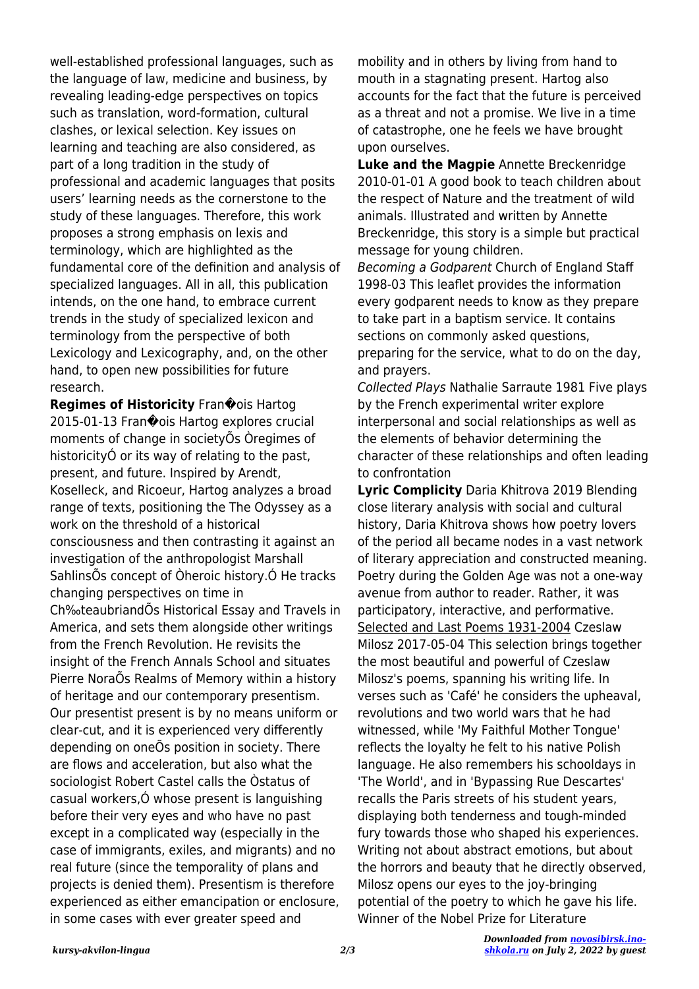well-established professional languages, such as the language of law, medicine and business, by revealing leading-edge perspectives on topics such as translation, word-formation, cultural clashes, or lexical selection. Key issues on learning and teaching are also considered, as part of a long tradition in the study of professional and academic languages that posits users' learning needs as the cornerstone to the study of these languages. Therefore, this work proposes a strong emphasis on lexis and terminology, which are highlighted as the fundamental core of the definition and analysis of specialized languages. All in all, this publication intends, on the one hand, to embrace current trends in the study of specialized lexicon and terminology from the perspective of both Lexicology and Lexicography, and, on the other hand, to open new possibilities for future research.

**Regimes of Historicity** Fran $\hat{\mathbf{\bullet}}$ ois Hartog 2015-01-13 Fran�ois Hartog explores crucial moments of change in societyÕs Òregimes of historicityÓ or its way of relating to the past, present, and future. Inspired by Arendt, Koselleck, and Ricoeur, Hartog analyzes a broad range of texts, positioning the The Odyssey as a work on the threshold of a historical consciousness and then contrasting it against an investigation of the anthropologist Marshall SahlinsÕs concept of Òheroic history.Ó He tracks changing perspectives on time in Ch‰teaubriandÕs Historical Essay and Travels in America, and sets them alongside other writings from the French Revolution. He revisits the insight of the French Annals School and situates Pierre NoraÕs Realms of Memory within a history of heritage and our contemporary presentism. Our presentist present is by no means uniform or clear-cut, and it is experienced very differently depending on oneÕs position in society. There are flows and acceleration, but also what the sociologist Robert Castel calls the Òstatus of casual workers,Ó whose present is languishing before their very eyes and who have no past except in a complicated way (especially in the case of immigrants, exiles, and migrants) and no real future (since the temporality of plans and projects is denied them). Presentism is therefore experienced as either emancipation or enclosure, in some cases with ever greater speed and

mobility and in others by living from hand to mouth in a stagnating present. Hartog also accounts for the fact that the future is perceived as a threat and not a promise. We live in a time of catastrophe, one he feels we have brought upon ourselves.

**Luke and the Magpie** Annette Breckenridge 2010-01-01 A good book to teach children about the respect of Nature and the treatment of wild animals. Illustrated and written by Annette Breckenridge, this story is a simple but practical message for young children.

Becoming a Godparent Church of England Staff 1998-03 This leaflet provides the information every godparent needs to know as they prepare to take part in a baptism service. It contains sections on commonly asked questions, preparing for the service, what to do on the day, and prayers.

Collected Plays Nathalie Sarraute 1981 Five plays by the French experimental writer explore interpersonal and social relationships as well as the elements of behavior determining the character of these relationships and often leading to confrontation

**Lyric Complicity** Daria Khitrova 2019 Blending close literary analysis with social and cultural history, Daria Khitrova shows how poetry lovers of the period all became nodes in a vast network of literary appreciation and constructed meaning. Poetry during the Golden Age was not a one-way avenue from author to reader. Rather, it was participatory, interactive, and performative. Selected and Last Poems 1931-2004 Czeslaw Milosz 2017-05-04 This selection brings together the most beautiful and powerful of Czeslaw Milosz's poems, spanning his writing life. In verses such as 'Café' he considers the upheaval, revolutions and two world wars that he had witnessed, while 'My Faithful Mother Tongue' reflects the loyalty he felt to his native Polish language. He also remembers his schooldays in 'The World', and in 'Bypassing Rue Descartes' recalls the Paris streets of his student years, displaying both tenderness and tough-minded fury towards those who shaped his experiences. Writing not about abstract emotions, but about the horrors and beauty that he directly observed, Milosz opens our eyes to the joy-bringing potential of the poetry to which he gave his life. Winner of the Nobel Prize for Literature